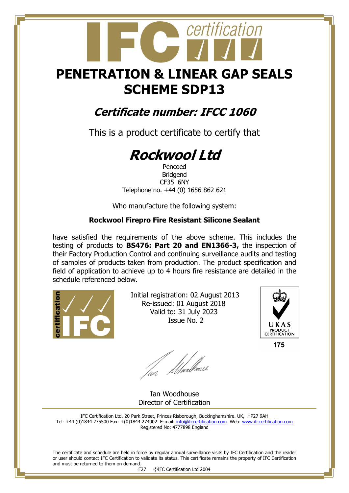## **PENETRATION & LINEAR GAP SEALS SCHEME SDP13**

certification

### **Certificate number: IFCC 1060**

This is a product certificate to certify that

# **Rockwool Ltd**

Pencoed Bridgend CF35 6NY Telephone no. +44 (0) 1656 862 621

Who manufacture the following system:

#### **Rockwool Firepro Fire Resistant Silicone Sealant**

have satisfied the requirements of the above scheme. This includes the testing of products to **BS476: Part 20 and EN1366-3,** the inspection of their Factory Production Control and continuing surveillance audits and testing of samples of products taken from production. The product specification and field of application to achieve up to 4 hours fire resistance are detailed in the schedule referenced below.



 Initial registration: 02 August 2013 Re-issued: 01 August 2018 Valid to: 31 July 2023 Issue No. 2



175

fan Moedhouse

 Ian Woodhouse Director of Certification

IFC Certification Ltd, 20 Park Street, Princes Risborough, Buckinghamshire. UK, HP27 9AH Tel: +44 (0)1844 275500 Fax: +(0)1844 274002 E-mail[: info@ifccertification.com](mailto:info@ifccertification.com) Web: [www.ifccertification.com](http://www.ifccertification.com/) Registered No: 4777898 England

The certificate and schedule are held in force by regular annual surveillance visits by IFC Certification and the reader or user should contact IFC Certification to validate its status. This certificate remains the property of IFC Certification and must be returned to them on demand.